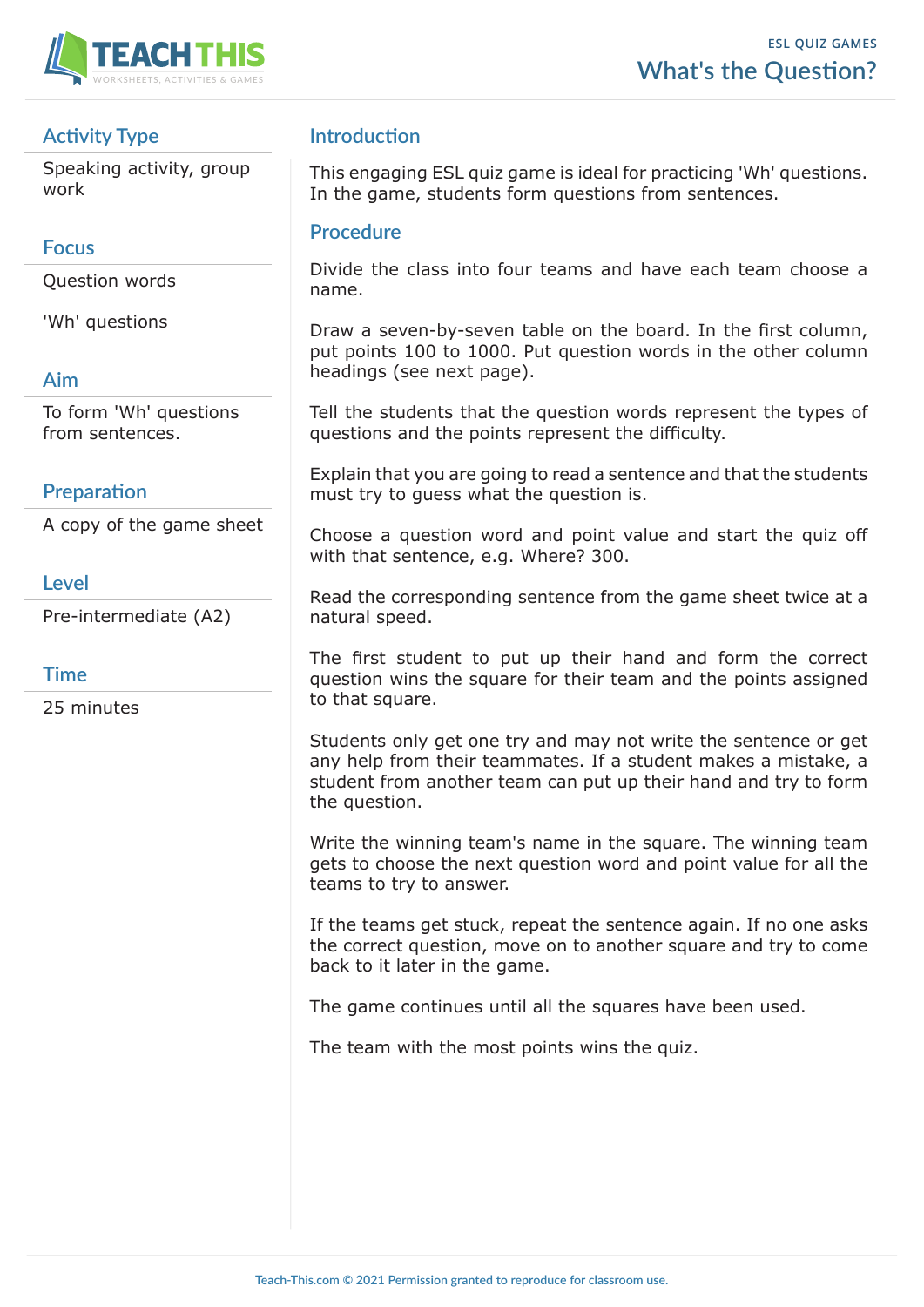

# **Activity Type**

Speaking activity, group work

## **Focus**

Question words

'Wh' questions

# **Aim**

To form 'Wh' questions from sentences.

# **Preparation**

A copy of the game sheet

### **Level**

Pre-intermediate (A2)

#### **Time**

25 minutes

# **Introduction**

This engaging ESL quiz game is ideal for practicing 'Wh' questions. In the game, students form questions from sentences.

### **Procedure**

Divide the class into four teams and have each team choose a name.

Draw a seven-by-seven table on the board. In the first column, put points 100 to 1000. Put question words in the other column headings (see next page).

Tell the students that the question words represent the types of questions and the points represent the difficulty.

Explain that you are going to read a sentence and that the students must try to guess what the question is.

Choose a question word and point value and start the quiz off with that sentence, e.g. Where? 300.

Read the corresponding sentence from the game sheet twice at a natural speed.

The first student to put up their hand and form the correct question wins the square for their team and the points assigned to that square.

Students only get one try and may not write the sentence or get any help from their teammates. If a student makes a mistake, a student from another team can put up their hand and try to form the question.

Write the winning team's name in the square. The winning team gets to choose the next question word and point value for all the teams to try to answer.

If the teams get stuck, repeat the sentence again. If no one asks the correct question, move on to another square and try to come back to it later in the game.

The game continues until all the squares have been used.

The team with the most points wins the quiz.